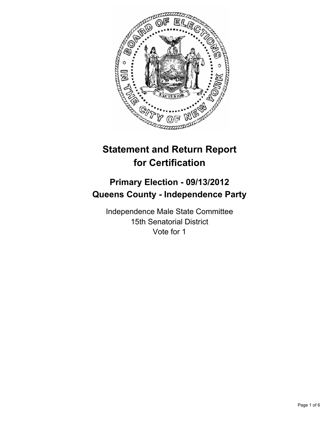

# **Statement and Return Report for Certification**

# **Primary Election - 09/13/2012 Queens County - Independence Party**

Independence Male State Committee 15th Senatorial District Vote for 1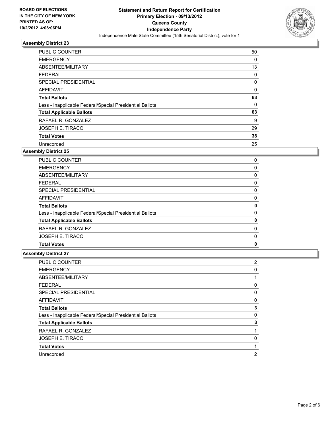

| <b>PUBLIC COUNTER</b>                                    | 50          |
|----------------------------------------------------------|-------------|
| <b>EMERGENCY</b>                                         | 0           |
| ABSENTEE/MILITARY                                        | 13          |
| <b>FEDERAL</b>                                           | 0           |
| SPECIAL PRESIDENTIAL                                     | 0           |
| <b>AFFIDAVIT</b>                                         | $\mathbf 0$ |
| <b>Total Ballots</b>                                     | 63          |
| Less - Inapplicable Federal/Special Presidential Ballots | 0           |
| <b>Total Applicable Ballots</b>                          | 63          |
| RAFAEL R. GONZALEZ                                       | 9           |
| <b>JOSEPH E. TIRACO</b>                                  | 29          |
| <b>Total Votes</b>                                       | 38          |
| Unrecorded                                               | 25          |

## **Assembly District 25**

| <b>PUBLIC COUNTER</b>                                    | 0 |
|----------------------------------------------------------|---|
| <b>EMERGENCY</b>                                         | 0 |
| ABSENTEE/MILITARY                                        | 0 |
| <b>FEDERAL</b>                                           | 0 |
| SPECIAL PRESIDENTIAL                                     | 0 |
| <b>AFFIDAVIT</b>                                         | 0 |
| <b>Total Ballots</b>                                     | 0 |
| Less - Inapplicable Federal/Special Presidential Ballots | 0 |
| <b>Total Applicable Ballots</b>                          | 0 |
| RAFAEL R. GONZALEZ                                       | 0 |
| <b>JOSEPH E. TIRACO</b>                                  | 0 |
| <b>Total Votes</b>                                       | 0 |
|                                                          |   |

| <b>PUBLIC COUNTER</b>                                    | 2           |
|----------------------------------------------------------|-------------|
| <b>EMERGENCY</b>                                         | $\mathbf 0$ |
| ABSENTEE/MILITARY                                        |             |
| <b>FEDERAL</b>                                           | 0           |
| SPECIAL PRESIDENTIAL                                     | 0           |
| AFFIDAVIT                                                | 0           |
| <b>Total Ballots</b>                                     | 3           |
| Less - Inapplicable Federal/Special Presidential Ballots | 0           |
| <b>Total Applicable Ballots</b>                          | 3           |
| RAFAEL R. GONZALEZ                                       |             |
| JOSEPH E. TIRACO                                         | 0           |
| <b>Total Votes</b>                                       |             |
| Unrecorded                                               | 2           |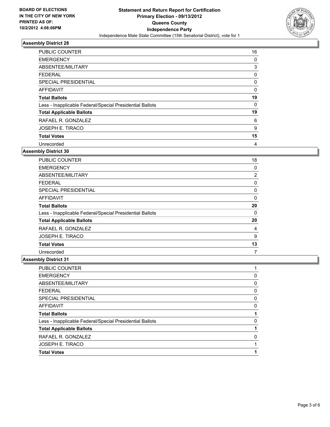

| <b>PUBLIC COUNTER</b>                                    | 16 |
|----------------------------------------------------------|----|
| <b>EMERGENCY</b>                                         | 0  |
| ABSENTEE/MILITARY                                        | 3  |
| <b>FEDERAL</b>                                           | 0  |
| SPECIAL PRESIDENTIAL                                     | 0  |
| <b>AFFIDAVIT</b>                                         | 0  |
| <b>Total Ballots</b>                                     | 19 |
| Less - Inapplicable Federal/Special Presidential Ballots | 0  |
| <b>Total Applicable Ballots</b>                          | 19 |
| RAFAEL R. GONZALEZ                                       | 6  |
| <b>JOSEPH E. TIRACO</b>                                  | 9  |
| <b>Total Votes</b>                                       | 15 |
| Unrecorded                                               | 4  |

## **Assembly District 30**

| <b>PUBLIC COUNTER</b>                                    | 18 |
|----------------------------------------------------------|----|
| <b>EMERGENCY</b>                                         | 0  |
| ABSENTEE/MILITARY                                        | 2  |
| FEDERAL                                                  | 0  |
| <b>SPECIAL PRESIDENTIAL</b>                              | 0  |
| <b>AFFIDAVIT</b>                                         | 0  |
| <b>Total Ballots</b>                                     | 20 |
| Less - Inapplicable Federal/Special Presidential Ballots | 0  |
| <b>Total Applicable Ballots</b>                          | 20 |
| RAFAEL R. GONZALEZ                                       | 4  |
| <b>JOSEPH E. TIRACO</b>                                  | 9  |
| <b>Total Votes</b>                                       | 13 |
| Unrecorded                                               | 7  |

| <b>PUBLIC COUNTER</b>                                    |   |
|----------------------------------------------------------|---|
| <b>EMERGENCY</b>                                         | 0 |
| ABSENTEE/MILITARY                                        | 0 |
| <b>FEDERAL</b>                                           | 0 |
| SPECIAL PRESIDENTIAL                                     | 0 |
| AFFIDAVIT                                                | 0 |
| <b>Total Ballots</b>                                     |   |
| Less - Inapplicable Federal/Special Presidential Ballots | 0 |
| <b>Total Applicable Ballots</b>                          |   |
| RAFAEL R. GONZALEZ                                       | 0 |
| <b>JOSEPH E. TIRACO</b>                                  |   |
| <b>Total Votes</b>                                       |   |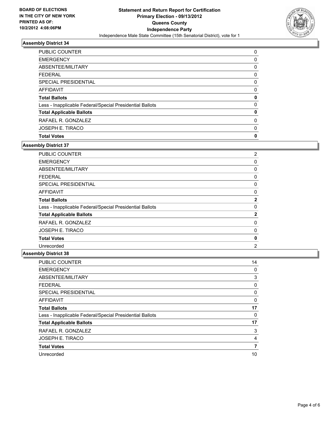

| <b>PUBLIC COUNTER</b>                                    | 0 |
|----------------------------------------------------------|---|
| <b>EMERGENCY</b>                                         | 0 |
| ABSENTEE/MILITARY                                        | 0 |
| <b>FEDERAL</b>                                           | 0 |
| SPECIAL PRESIDENTIAL                                     | 0 |
| AFFIDAVIT                                                | 0 |
| <b>Total Ballots</b>                                     | 0 |
| Less - Inapplicable Federal/Special Presidential Ballots | 0 |
| <b>Total Applicable Ballots</b>                          | 0 |
| RAFAEL R. GONZALEZ                                       | 0 |
| <b>JOSEPH E. TIRACO</b>                                  | 0 |
| <b>Total Votes</b>                                       | 0 |

## **Assembly District 37**

| PUBLIC COUNTER                                           | $\overline{2}$ |
|----------------------------------------------------------|----------------|
| <b>EMERGENCY</b>                                         | 0              |
| ABSENTEE/MILITARY                                        | 0              |
| <b>FEDERAL</b>                                           | 0              |
| SPECIAL PRESIDENTIAL                                     | 0              |
| AFFIDAVIT                                                | 0              |
| <b>Total Ballots</b>                                     | $\mathbf{2}$   |
| Less - Inapplicable Federal/Special Presidential Ballots | 0              |
| <b>Total Applicable Ballots</b>                          | $\mathbf{2}$   |
| RAFAEL R. GONZALEZ                                       | 0              |
| <b>JOSEPH E. TIRACO</b>                                  | 0              |
| <b>Total Votes</b>                                       | 0              |
| Unrecorded                                               | 2              |

| <b>PUBLIC COUNTER</b>                                    | 14 |
|----------------------------------------------------------|----|
| <b>EMERGENCY</b>                                         | 0  |
| ABSENTEE/MILITARY                                        | 3  |
| <b>FEDERAL</b>                                           | 0  |
| SPECIAL PRESIDENTIAL                                     | 0  |
| AFFIDAVIT                                                | 0  |
| <b>Total Ballots</b>                                     | 17 |
| Less - Inapplicable Federal/Special Presidential Ballots | 0  |
| <b>Total Applicable Ballots</b>                          | 17 |
| RAFAEL R. GONZALEZ                                       | 3  |
| JOSEPH E. TIRACO                                         | 4  |
| <b>Total Votes</b>                                       | 7  |
| Unrecorded                                               | 10 |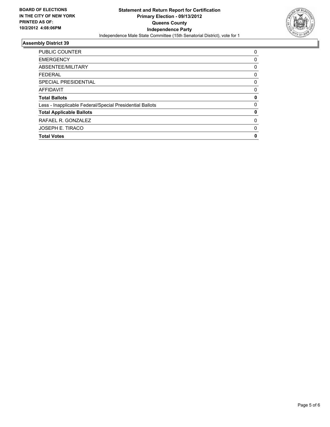

| <b>PUBLIC COUNTER</b>                                    | 0        |
|----------------------------------------------------------|----------|
|                                                          |          |
| <b>EMERGENCY</b>                                         | 0        |
| ABSENTEE/MILITARY                                        | 0        |
| <b>FEDERAL</b>                                           | 0        |
| SPECIAL PRESIDENTIAL                                     | 0        |
| <b>AFFIDAVIT</b>                                         | 0        |
| <b>Total Ballots</b>                                     | 0        |
| Less - Inapplicable Federal/Special Presidential Ballots | $\Omega$ |
| <b>Total Applicable Ballots</b>                          | 0        |
| RAFAEL R. GONZALEZ                                       | 0        |
| <b>JOSEPH E. TIRACO</b>                                  | 0        |
| <b>Total Votes</b>                                       | 0        |